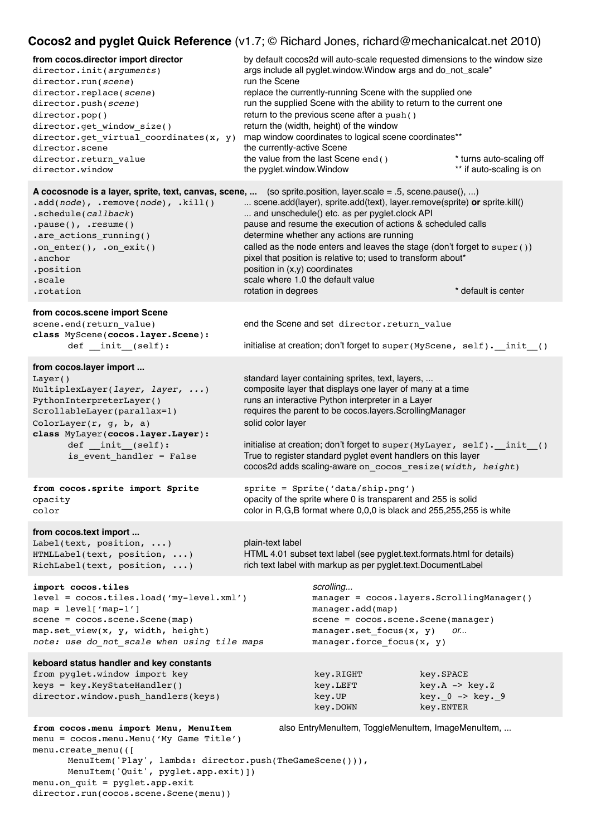# **Cocos2 and pyglet Quick Reference** (v1.7; © Richard Jones, richard@mechanicalcat.net 2010)

| $\mathsf{C}\mathsf{OCOSZ}$ and $\mathsf{pyg}$ iet Quick Helefence (VT.7, $\otimes$ Hichard Jones, nchard $\otimes$ mechanicaicat.net 2010)                                                                                                                                                                  |                                                                         |                                                                                                                                                                                                                                                                                                                                                                                               |                                                                                                                                    |
|-------------------------------------------------------------------------------------------------------------------------------------------------------------------------------------------------------------------------------------------------------------------------------------------------------------|-------------------------------------------------------------------------|-----------------------------------------------------------------------------------------------------------------------------------------------------------------------------------------------------------------------------------------------------------------------------------------------------------------------------------------------------------------------------------------------|------------------------------------------------------------------------------------------------------------------------------------|
| from cocos.director import director<br>director.init(arguments)<br>director.run(scene)<br>director.replace(scene)<br>director.push(scene)<br>director.pop()<br>director.get window size()<br>director.get_virtual_coordinates(x, y)<br>director.scene<br>director.return value<br>director.window           | run the Scene<br>the currently-active Scene<br>the pyglet.window.Window | args include all pyglet.window.Window args and do_not_scale*<br>replace the currently-running Scene with the supplied one<br>run the supplied Scene with the ability to return to the current one<br>return to the previous scene after a push ()<br>return the (width, height) of the window<br>map window coordinates to logical scene coordinates**<br>the value from the last Scene end() | by default cocos2d will auto-scale requested dimensions to the window size<br>* turns auto-scaling off<br>** if auto-scaling is on |
| A cocosnode is a layer, sprite, text, canvas, scene,  (so sprite position, layer scale = .5, scene pause(), )<br>$.add(node)$ , .remove(node), .kill()<br>.schedule(callback)<br>$.pause()$ , .resume()<br>.are_actions_running()<br>.on enter(), .on exit()<br>.anchor<br>.position<br>.scale<br>.rotation | position in (x,y) coordinates<br>rotation in degrees                    | scene.add(layer), sprite.add(text), layer.remove(sprite) or sprite.kill()<br>and unschedule() etc. as per pyglet.clock API<br>pause and resume the execution of actions & scheduled calls<br>determine whether any actions are running<br>pixel that position is relative to; used to transform about*<br>scale where 1.0 the default value                                                   | called as the node enters and leaves the stage (don't forget to super ())<br>* default is center                                   |
| from cocos.scene import Scene<br>scene.end(return value)<br>class MyScene(cocos.layer.Scene):<br>$def __init__(self):$                                                                                                                                                                                      |                                                                         | end the Scene and set director. return value                                                                                                                                                                                                                                                                                                                                                  | initialise at creation; don't forget to super (MyScene, self). init ()                                                             |
| from cocos.layer import<br>Layer()<br>MultiplexLayer(layer, layer, )<br>PythonInterpreterLayer()<br>ScrollableLayer(parallax=1)<br>ColorLayer( $r$ , $g$ , $b$ , $a$ )<br>class MyLayer(cocos.layer.Layer):<br>def _init_(self):<br>is_event_handler = False                                                | solid color layer                                                       | standard layer containing sprites, text, layers,<br>composite layer that displays one layer of many at a time<br>runs an interactive Python interpreter in a Layer<br>requires the parent to be cocos.layers.ScrollingManager<br>True to register standard pyglet event handlers on this layer<br>cocos2d adds scaling-aware on cocos resize(width, height)                                   | initialise at creation; don't forget to super (MyLayer, self). _init_()                                                            |
| from cocos.sprite import Sprite<br>opacity<br>color                                                                                                                                                                                                                                                         |                                                                         | sprite = Sprite('data/ship.png')<br>opacity of the sprite where 0 is transparent and 255 is solid<br>color in R,G,B format where 0,0,0 is black and 255,255,255 is white                                                                                                                                                                                                                      |                                                                                                                                    |
| from cocos.text import<br>Label(text, position, $\ldots$ )<br>HTMLLabel(text, position, )<br>RichLabel(text, position, )                                                                                                                                                                                    | plain-text label                                                        | HTML 4.01 subset text label (see pyglet.text.formats.html for details)<br>rich text label with markup as per pyglet.text.DocumentLabel                                                                                                                                                                                                                                                        |                                                                                                                                    |
| import cocos.tiles<br>level = cocos.tiles.load('my-level.xml')<br>$map = level['map-1']$<br>scene = cocos.scene.Scene(map)<br>map.set view(x, y, width, height)<br>note: use do not scale when using tile maps                                                                                              |                                                                         | scrolling<br>manager.add(map)<br>scene = cocos.scene.Scene(manager)<br>manager.set focus(x, y)<br>manager.force focus $(x, y)$                                                                                                                                                                                                                                                                | manager = cocos.layers.ScrollingManager()<br>or                                                                                    |
| keboard status handler and key constants<br>from pyglet.window import key<br>keys = key. KeyStateHandler()<br>director.window.push_handlers(keys)                                                                                                                                                           |                                                                         | key.RIGHT<br>key.LEFT<br>key.UP<br>key.DOWN                                                                                                                                                                                                                                                                                                                                                   | key.SPACE<br>$key.A -> key.Z$<br>$key. 0 -> key. 9$<br>key.ENTER                                                                   |
| from cocos.menu import Menu, MenuItem<br>menu = cocos.menu.Menu('My Game Title')                                                                                                                                                                                                                            |                                                                         | also EntryMenuItem, ToggleMenuItem, ImageMenuItem,                                                                                                                                                                                                                                                                                                                                            |                                                                                                                                    |

menu.create\_menu(([ MenuItem('Play', lambda: director.push(TheGameScene())), MenuItem('Quit', pyglet.app.exit)]) menu.on\_quit = pyglet.app.exit director.run(cocos.scene.Scene(menu))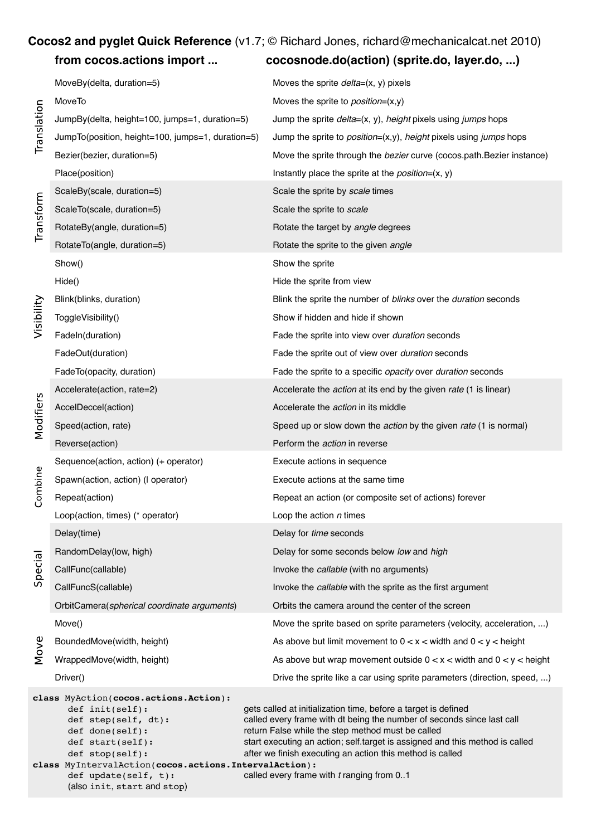# **Cocos2 and pyglet Quick Reference** (v1.7; © Richard Jones, richard@mechanicalcat.net 2010)

# **from cocos.actions import ...! ! cocosnode.do(action) (sprite.do, layer.do, ...)**

| Translation                 | MoveBy(delta, duration=5)                                                                                                                                                                                                     | Moves the sprite $delta=(x, y)$ pixels                                                                                                                                                                                                                                                                                                                                                  |  |  |
|-----------------------------|-------------------------------------------------------------------------------------------------------------------------------------------------------------------------------------------------------------------------------|-----------------------------------------------------------------------------------------------------------------------------------------------------------------------------------------------------------------------------------------------------------------------------------------------------------------------------------------------------------------------------------------|--|--|
|                             | MoveTo                                                                                                                                                                                                                        | Moves the sprite to <i>position</i> = $(x,y)$                                                                                                                                                                                                                                                                                                                                           |  |  |
|                             | JumpBy(delta, height=100, jumps=1, duration=5)                                                                                                                                                                                | Jump the sprite delta=(x, y), height pixels using jumps hops                                                                                                                                                                                                                                                                                                                            |  |  |
|                             | JumpTo(position, height=100, jumps=1, duration=5)                                                                                                                                                                             | Jump the sprite to <i>position</i> =(x,y), height pixels using jumps hops                                                                                                                                                                                                                                                                                                               |  |  |
|                             | Bezier(bezier, duration=5)                                                                                                                                                                                                    | Move the sprite through the bezier curve (cocos.path. Bezier instance)                                                                                                                                                                                                                                                                                                                  |  |  |
|                             | Place(position)                                                                                                                                                                                                               | Instantly place the sprite at the <i>position</i> = $(x, y)$                                                                                                                                                                                                                                                                                                                            |  |  |
| Transform                   | ScaleBy(scale, duration=5)                                                                                                                                                                                                    | Scale the sprite by scale times                                                                                                                                                                                                                                                                                                                                                         |  |  |
|                             | ScaleTo(scale, duration=5)                                                                                                                                                                                                    | Scale the sprite to scale                                                                                                                                                                                                                                                                                                                                                               |  |  |
|                             | RotateBy(angle, duration=5)                                                                                                                                                                                                   | Rotate the target by angle degrees                                                                                                                                                                                                                                                                                                                                                      |  |  |
|                             | RotateTo(angle, duration=5)                                                                                                                                                                                                   | Rotate the sprite to the given angle                                                                                                                                                                                                                                                                                                                                                    |  |  |
| Visibility                  | Show()                                                                                                                                                                                                                        | Show the sprite                                                                                                                                                                                                                                                                                                                                                                         |  |  |
|                             | Hide()                                                                                                                                                                                                                        | Hide the sprite from view                                                                                                                                                                                                                                                                                                                                                               |  |  |
|                             | Blink(blinks, duration)                                                                                                                                                                                                       | Blink the sprite the number of blinks over the duration seconds                                                                                                                                                                                                                                                                                                                         |  |  |
|                             | ToggleVisibility()                                                                                                                                                                                                            | Show if hidden and hide if shown                                                                                                                                                                                                                                                                                                                                                        |  |  |
|                             | Fadeln(duration)                                                                                                                                                                                                              | Fade the sprite into view over duration seconds                                                                                                                                                                                                                                                                                                                                         |  |  |
|                             | FadeOut(duration)                                                                                                                                                                                                             | Fade the sprite out of view over duration seconds                                                                                                                                                                                                                                                                                                                                       |  |  |
|                             | FadeTo(opacity, duration)                                                                                                                                                                                                     | Fade the sprite to a specific opacity over duration seconds                                                                                                                                                                                                                                                                                                                             |  |  |
|                             | Accelerate(action, rate=2)                                                                                                                                                                                                    | Accelerate the <i>action</i> at its end by the given <i>rate</i> (1 is linear)                                                                                                                                                                                                                                                                                                          |  |  |
| Modifiers                   | AccelDeccel(action)                                                                                                                                                                                                           | Accelerate the <i>action</i> in its middle                                                                                                                                                                                                                                                                                                                                              |  |  |
|                             | Speed(action, rate)                                                                                                                                                                                                           | Speed up or slow down the <i>action</i> by the given rate (1 is normal)                                                                                                                                                                                                                                                                                                                 |  |  |
|                             | Reverse(action)                                                                                                                                                                                                               | Perform the <i>action</i> in reverse                                                                                                                                                                                                                                                                                                                                                    |  |  |
|                             | Sequence(action, action) (+ operator)                                                                                                                                                                                         | Execute actions in sequence                                                                                                                                                                                                                                                                                                                                                             |  |  |
| Combine                     | Spawn(action, action) (I operator)                                                                                                                                                                                            | Execute actions at the same time                                                                                                                                                                                                                                                                                                                                                        |  |  |
|                             | Repeat(action)                                                                                                                                                                                                                | Repeat an action (or composite set of actions) forever                                                                                                                                                                                                                                                                                                                                  |  |  |
|                             | Loop(action, times) (* operator)                                                                                                                                                                                              | Loop the action $n$ times                                                                                                                                                                                                                                                                                                                                                               |  |  |
|                             | Delay(time)                                                                                                                                                                                                                   | Delay for time seconds                                                                                                                                                                                                                                                                                                                                                                  |  |  |
|                             | RandomDelay(low, high)                                                                                                                                                                                                        | Delay for some seconds below low and high                                                                                                                                                                                                                                                                                                                                               |  |  |
| Special                     | CallFunc(callable)                                                                                                                                                                                                            | Invoke the callable (with no arguments)                                                                                                                                                                                                                                                                                                                                                 |  |  |
|                             | CallFuncS(callable)                                                                                                                                                                                                           | Invoke the callable with the sprite as the first argument                                                                                                                                                                                                                                                                                                                               |  |  |
|                             | OrbitCamera(spherical coordinate arguments)                                                                                                                                                                                   | Orbits the camera around the center of the screen                                                                                                                                                                                                                                                                                                                                       |  |  |
|                             | Move()                                                                                                                                                                                                                        | Move the sprite based on sprite parameters (velocity, acceleration, )                                                                                                                                                                                                                                                                                                                   |  |  |
| Move                        | BoundedMove(width, height)                                                                                                                                                                                                    | As above but limit movement to $0 < x <$ width and $0 < y <$ height                                                                                                                                                                                                                                                                                                                     |  |  |
|                             | WrappedMove(width, height)                                                                                                                                                                                                    | As above but wrap movement outside $0 < x <$ width and $0 < y <$ height                                                                                                                                                                                                                                                                                                                 |  |  |
|                             | Driver()                                                                                                                                                                                                                      | Drive the sprite like a car using sprite parameters (direction, speed, )                                                                                                                                                                                                                                                                                                                |  |  |
|                             | class MyAction(cocos.actions.Action):<br>def init(self):<br>def step(self, dt):<br>def done(self):<br>def start(self):<br>def stop(self):<br>class MyIntervalAction(cocos.actions.IntervalAction):<br>def update(self, $t$ ): | gets called at initialization time, before a target is defined<br>called every frame with dt being the number of seconds since last call<br>return False while the step method must be called<br>start executing an action; self.target is assigned and this method is called<br>after we finish executing an action this method is called<br>called every frame with t ranging from 01 |  |  |
| (also init, start and stop) |                                                                                                                                                                                                                               |                                                                                                                                                                                                                                                                                                                                                                                         |  |  |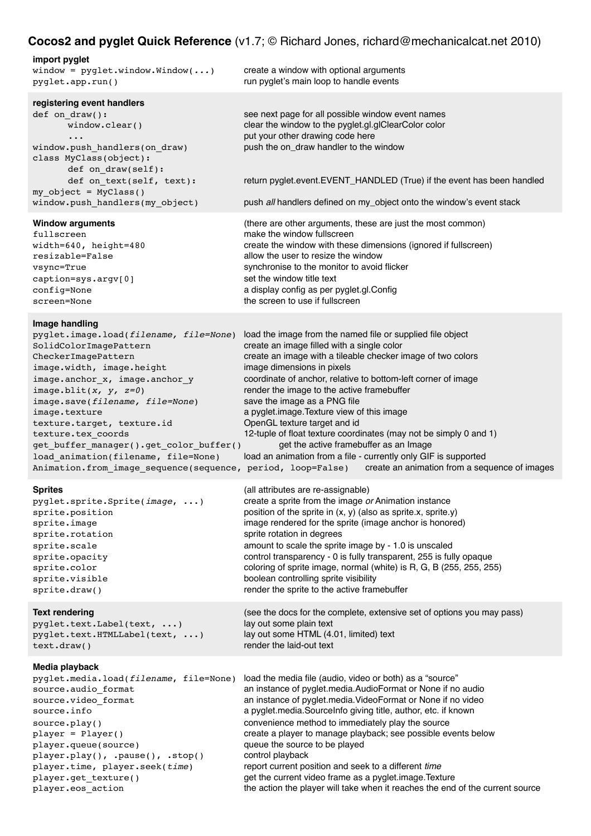| <b>Cocos2 and pyglet Quick Reference</b> (v1.7; © Richard Jones, richard@mechanicalcat.net 2010)                                                                                                                                                                                                                                                                                                                                                                 |                                                                                                                                                                                                                                                                                                                                                                                                                                                                                                                                                                                                                                                                       |  |  |  |
|------------------------------------------------------------------------------------------------------------------------------------------------------------------------------------------------------------------------------------------------------------------------------------------------------------------------------------------------------------------------------------------------------------------------------------------------------------------|-----------------------------------------------------------------------------------------------------------------------------------------------------------------------------------------------------------------------------------------------------------------------------------------------------------------------------------------------------------------------------------------------------------------------------------------------------------------------------------------------------------------------------------------------------------------------------------------------------------------------------------------------------------------------|--|--|--|
| import pyglet<br>window = $pygletwindow.Window()$<br>pyglet.app.run()                                                                                                                                                                                                                                                                                                                                                                                            | create a window with optional arguments<br>run pyglet's main loop to handle events                                                                                                                                                                                                                                                                                                                                                                                                                                                                                                                                                                                    |  |  |  |
| registering event handlers<br>def on draw():<br>window.clear()<br>window.push_handlers(on_draw)<br>class MyClass(object):<br>def on draw(self):<br>def on text(self, text):<br>$my$ object = MyClass()<br>window.push_handlers(my_object)                                                                                                                                                                                                                        | see next page for all possible window event names<br>clear the window to the pyglet.gl.glClearColor color<br>put your other drawing code here<br>push the on_draw handler to the window<br>return pyglet.event.EVENT_HANDLED (True) if the event has been handled<br>push all handlers defined on my_object onto the window's event stack                                                                                                                                                                                                                                                                                                                             |  |  |  |
| <b>Window arguments</b><br>fullscreen<br>width=640, height=480<br>resizable=False<br>vsync=True<br>caption=sys.argv[0]<br>config=None<br>screen=None                                                                                                                                                                                                                                                                                                             | (there are other arguments, these are just the most common)<br>make the window fullscreen<br>create the window with these dimensions (ignored if fullscreen)<br>allow the user to resize the window<br>synchronise to the monitor to avoid flicker<br>set the window title text<br>a display config as per pyglet.gl.Config<br>the screen to use if fullscreen                                                                                                                                                                                                                                                                                                        |  |  |  |
| Image handling<br>pyglet.image.load(filename, file=None)<br>SolidColorImagePattern<br>CheckerImagePattern<br>image.width, image.height<br>image.anchor x, image.anchor y<br>image.blit(x, $y$ , $z=0$ )<br>image.save(filename, file=None)<br>image.texture<br>texture.target, texture.id<br>texture.tex coords<br>get_buffer_manager().get_color_buffer()<br>load_animation(filename, file=None)<br>Animation.from_image_sequence(sequence, period, loop=False) | load the image from the named file or supplied file object<br>create an image filled with a single color<br>create an image with a tileable checker image of two colors<br>image dimensions in pixels<br>coordinate of anchor, relative to bottom-left corner of image<br>render the image to the active framebuffer<br>save the image as a PNG file<br>a pyglet.image. Texture view of this image<br>OpenGL texture target and id<br>12-tuple of float texture coordinates (may not be simply 0 and 1)<br>get the active framebuffer as an Image<br>load an animation from a file - currently only GIF is supported<br>create an animation from a sequence of images |  |  |  |
| <b>Sprites</b><br>pyglet.sprite.Sprite( <i>image</i> , )<br>sprite.position<br>sprite.image<br>sprite.rotation<br>sprite.scale<br>sprite.opacity<br>sprite.color<br>sprite.visible<br>sprite.draw()                                                                                                                                                                                                                                                              | (all attributes are re-assignable)<br>create a sprite from the image or Animation instance<br>position of the sprite in $(x, y)$ (also as sprite.x, sprite.y)<br>image rendered for the sprite (image anchor is honored)<br>sprite rotation in degrees<br>amount to scale the sprite image by - 1.0 is unscaled<br>control transparency - 0 is fully transparent, 255 is fully opaque<br>coloring of sprite image, normal (white) is R, G, B (255, 255, 255)<br>boolean controlling sprite visibility<br>render the sprite to the active framebuffer                                                                                                                  |  |  |  |
| <b>Text rendering</b><br>pyglet.text.Label(text, )                                                                                                                                                                                                                                                                                                                                                                                                               | (see the docs for the complete, extensive set of options you may pass)<br>lay out some plain text                                                                                                                                                                                                                                                                                                                                                                                                                                                                                                                                                                     |  |  |  |

pyglet.text.HTMLLabel(text, ...) lay out some HTML (4.01, limited) text text.draw()  $|$  is the laid-out text and  $r$  is the laid-out text

## **Media playback**

player.queue(source)  $\qquad \qquad \qquad$  queue the source to be played player.play(), .pause(), .stop() control playback

pyglet.media.load(*filename*, file=None) load the media file (audio, video or both) as a "source" source.audio\_format!! ! ! an instance of pyglet.media.AudioFormat or None if no audio source.video\_format | | | an instance of pyglet.media.VideoFormat or None if no video source.info! ! ! ! ! a pyglet.media.SourceInfo giving title, author, etc. if known source.play()! ! ! ! convenience method to immediately play the source create a player to manage playback; see possible events below player.time, player.seek(*time*)! ! report current position and seek to a different *time* player.get\_texture()! ! ! get the current video frame as a pyglet.image.Texture player.eos\_action  ${}$  the action the player will take when it reaches the end of the current source